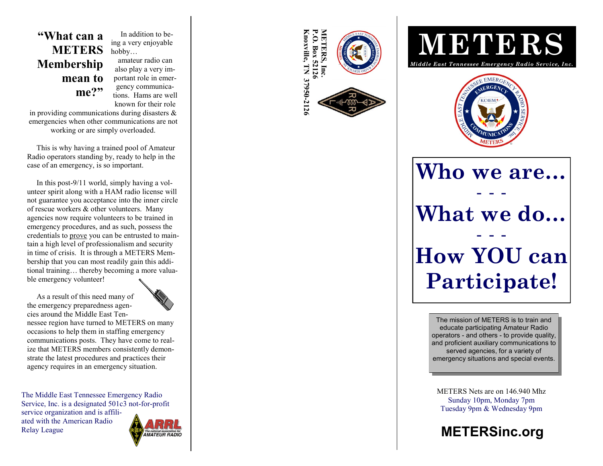## **"What can a METERS Membership mean to me?"**

 In addition to being a very enjoyable hobby… amateur radio can also play a very im-

portant role in emergency communications. Hams are well known for their role

in providing communications during disasters & emergencies when other communications are not working or are simply overloaded.

 This is why having a trained pool of Amateur Radio operators standing by, ready to help in the case of an emergency, is so important.

 In this post -9/11 world, simply having a volunteer spirit along with a HAM radio license will not guarantee you acceptance into the inner circle of rescue workers & other volunteers. Many agencies now require volunteers to be trained in emergency procedures, and as such, possess the credentials to prove you can be entrusted to maintain a high level of professionalism and security in time of crisis. It is through a METERS Membership that you can most readily gain this additional training… thereby becoming a more valuable emergency volunteer!

As a result of this need many of

the emergency preparedness agencies around the Middle East Tennessee region have turned to METERS on many occasions to help them in staffing emergency communications posts. They have come to realize that METERS members consistently demonstrate the latest procedures and practices their agency requires in an emergency situation.

The Middle East Tennessee Emergency Radio Service, Inc. is a designated 501c3 not-for-profit service organization and is affiliated with the American Radio









**Who we are… - - - What we do… - - - How YOU can Participate!**

> The mission of METERS is to train and educate participating Amateur Radio operators - and others - to provide quality, and proficient auxiliary communications to served agencies, for a variety of emergency situations and special events.

METERS Nets are on 146.940 Mhz Sunday 10pm, Monday 7pm Tuesday 9pm & Wednesday 9pm